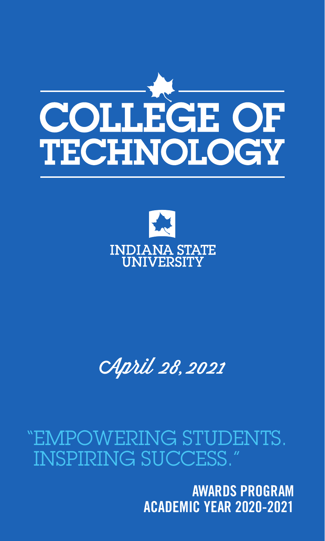



#### **UNIVERSITY**

## April 28, 2021

**AWARDS PROGRAM ACADEMIC YEAR 2020-2021**

## "EMPOWERING STUDENTS. INSPIRING SUCCESS."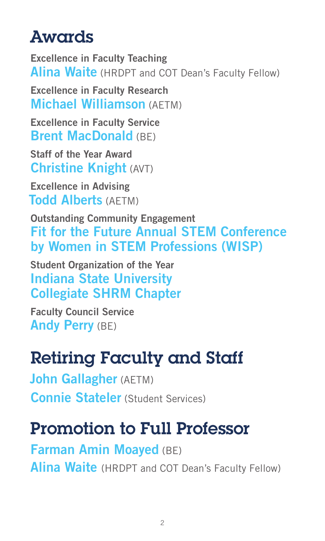Excellence in Faculty Teaching Alina Waite (HRDPT and COT Dean's Faculty Fellow)

#### Awards

Excellence in Faculty Research Michael Williamson (AETM)

Excellence in Faculty Service Brent MacDonald (BE)

Staff of the Year Award Christine Knight (AVT)

Excellence in Advising Todd Alberts (AETM)

Outstanding Community Engagement Fit for the Future Annual STEM Conference by Women in STEM Professions (WISP)

Student Organization of the Year Indiana State University Collegiate SHRM Chapter

Faculty Council Service Andy Perry (BE)

# Retiring Faculty and Staff

John Gallagher (AETM)

Connie Stateler (Student Services)

## Promotion to Full Professor

Farman Amin Moayed (BE)

Alina Waite (HRDPT and COT Dean's Faculty Fellow)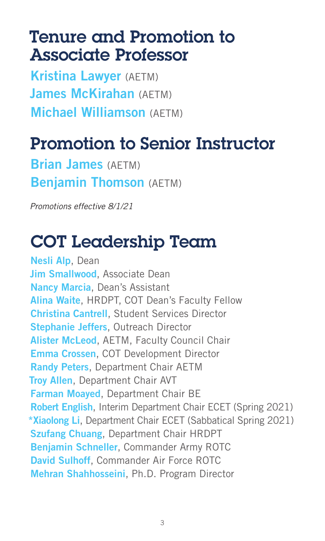#### Tenure and Promotion to Associate Professor

Brian James (AETM) **Benjamin Thomson** (AETM)

Kristina Lawyer (AETM) James McKirahan (AETM) Michael Williamson (AETM)

## Promotion to Senior Instructor

*Promotions effective 8/1/21*

## COT Leadership Team

Nesli Alp, Dean Jim Smallwood, Associate Dean Nancy Marcia, Dean's Assistant Alina Waite, HRDPT, COT Dean's Faculty Fellow Christina Cantrell, Student Services Director Stephanie Jeffers, Outreach Director Alister McLeod, AETM, Faculty Council Chair Emma Crossen, COT Development Director Randy Peters, Department Chair AETM **Troy Allen, Department Chair AVT** Farman Moayed, Department Chair BE Robert English, Interim Department Chair ECET (Spring 2021) \*Xiaolong Li, Department Chair ECET (Sabbatical Spring 2021) **Szufang Chuang, Department Chair HRDPT** Benjamin Schneller, Commander Army ROTC David Sulhoff, Commander Air Force ROTC Mehran Shahhosseini, Ph.D. Program Director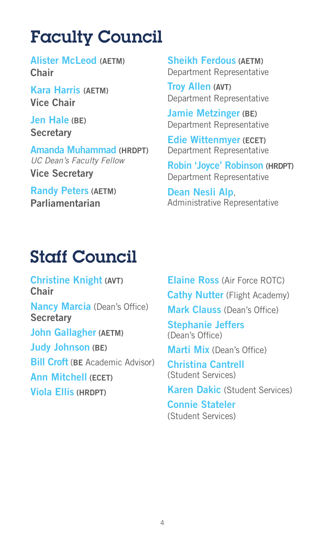## Faculty Council

#### Staff Council

Jen Hale (BE) **Secretary** 

Alister McLeod (AETM) Chair

Kara Harris (AETM) Vice Chair

Amanda Muhammad (HRDPT) *UC Dean's Faculty Fellow* Vice Secretary

Randy Peters (AETM) Parliamentarian

Sheikh Ferdous (AETM) Department Representative

Christine Knight (AVT) **Chair** 

**Nancy Marcia** (Dean's Office) **Secretary** 

Troy Allen (AVT) Department Representative

Jamie Metzinger (BE) Department Representative

Edie Wittenmyer (ECET) Department Representative

Robin 'Joyce' Robinson (HRDPT) Department Representative

Dean Nesli Alp, Administrative Representative



John Gallagher (AETM)

Judy Johnson (BE)

**Bill Croft (BE Academic Advisor)** 

Ann Mitchell (ECET)

Viola Ellis (HRDPT)

Elaine Ross (Air Force ROTC) **Cathy Nutter** (Flight Academy) Mark Clauss (Dean's Office) Stephanie Jeffers (Dean's Office) Marti Mix (Dean's Office) Christina Cantrell (Student Services) Karen Dakic (Student Services) Connie Stateler (Student Services)